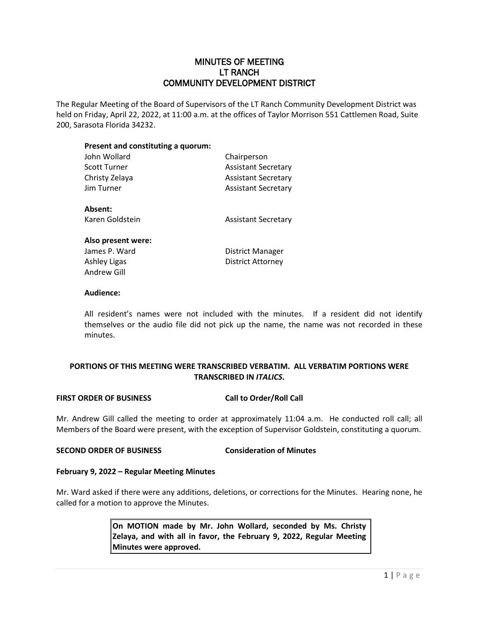# MINUTES OF MEETING LT RANCH COMMUNITY DEVELOPMENT DISTRICT

The Regular Meeting of the Board of Supervisors of the LT Ranch Community Development District was held on Friday, April 22, 2022, at 11:00 a.m. at the offices of Taylor Morrison 551 Cattlemen Road, Suite 200, Sarasota Florida 34232.

# **Present and constituting a quorum:** John Wollard Chairperson Scott Turner **Assistant Secretary** Christy Zelaya **Assistant Secretary** Jim Turner **Assistant Secretary Absent:** Karen Goldstein **Assistant Secretary Also present were:** James P. Ward **District Manager** Ashley Ligas **District Attorney** Andrew Gill

### **Audience:**

All resident's names were not included with the minutes. If a resident did not identify themselves or the audio file did not pick up the name, the name was not recorded in these minutes.

# **PORTIONS OF THIS MEETING WERE TRANSCRIBED VERBATIM. ALL VERBATIM PORTIONS WERE TRANSCRIBED IN** *ITALICS***.**

### **FIRST ORDER OF BUSINESS Call to Order/Roll Call**

Mr. Andrew Gill called the meeting to order at approximately 11:04 a.m. He conducted roll call; all Members of the Board were present, with the exception of Supervisor Goldstein, constituting a quorum.

### **SECOND ORDER OF BUSINESS Consideration of Minutes**

### **February 9, 2022 – Regular Meeting Minutes**

Mr. Ward asked if there were any additions, deletions, or corrections for the Minutes. Hearing none, he called for a motion to approve the Minutes.

> **On MOTION made by Mr. John Wollard, seconded by Ms. Christy Zelaya, and with all in favor, the February 9, 2022, Regular Meeting Minutes were approved.**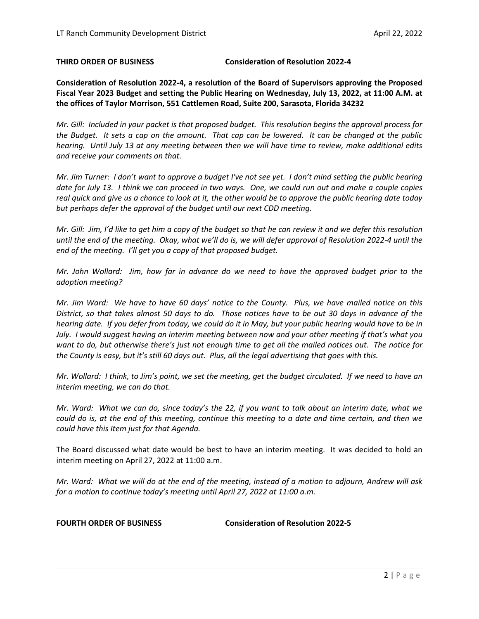**THIRD ORDER OF BUSINESS Consideration of Resolution 2022-4**

**Consideration of Resolution 2022-4, a resolution of the Board of Supervisors approving the Proposed Fiscal Year 2023 Budget and setting the Public Hearing on Wednesday, July 13, 2022, at 11:00 A.M. at the offices of Taylor Morrison, 551 Cattlemen Road, Suite 200, Sarasota, Florida 34232**

*Mr. Gill: Included in your packet is that proposed budget. This resolution begins the approval process for the Budget. It sets a cap on the amount. That cap can be lowered. It can be changed at the public hearing. Until July 13 at any meeting between then we will have time to review, make additional edits and receive your comments on that.* 

*Mr. Jim Turner: I don't want to approve a budget I've not see yet. I don't mind setting the public hearing date for July 13. I think we can proceed in two ways. One, we could run out and make a couple copies real quick and give us a chance to look at it, the other would be to approve the public hearing date today but perhaps defer the approval of the budget until our next CDD meeting.* 

*Mr. Gill: Jim, I'd like to get him a copy of the budget so that he can review it and we defer this resolution until the end of the meeting. Okay, what we'll do is, we will defer approval of Resolution 2022-4 until the end of the meeting. I'll get you a copy of that proposed budget.* 

*Mr. John Wollard: Jim, how far in advance do we need to have the approved budget prior to the adoption meeting?*

*Mr. Jim Ward: We have to have 60 days' notice to the County. Plus, we have mailed notice on this District, so that takes almost 50 days to do. Those notices have to be out 30 days in advance of the hearing date. If you defer from today, we could do it in May, but your public hearing would have to be in July. I would suggest having an interim meeting between now and your other meeting if that's what you want to do, but otherwise there's just not enough time to get all the mailed notices out. The notice for the County is easy, but it's still 60 days out. Plus, all the legal advertising that goes with this.* 

*Mr. Wollard: I think, to Jim's point, we set the meeting, get the budget circulated. If we need to have an interim meeting, we can do that.*

*Mr. Ward: What we can do, since today's the 22, if you want to talk about an interim date, what we could do is, at the end of this meeting, continue this meeting to a date and time certain, and then we could have this Item just for that Agenda.* 

The Board discussed what date would be best to have an interim meeting. It was decided to hold an interim meeting on April 27, 2022 at 11:00 a.m.

*Mr. Ward: What we will do at the end of the meeting, instead of a motion to adjourn, Andrew will ask for a motion to continue today's meeting until April 27, 2022 at 11:00 a.m.* 

**FOURTH ORDER OF BUSINESS Consideration of Resolution 2022-5**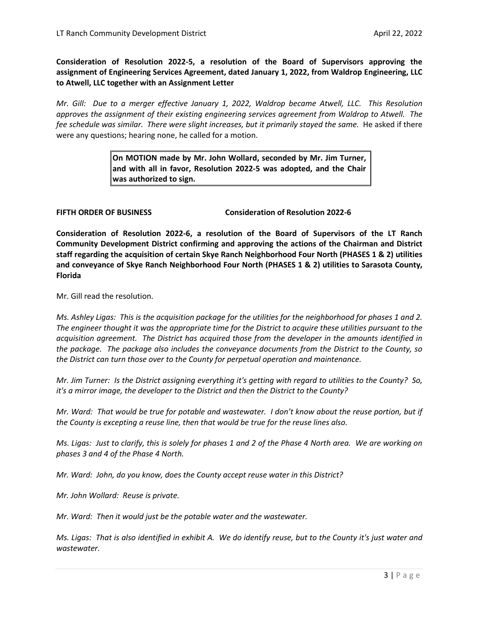**Consideration of Resolution 2022-5, a resolution of the Board of Supervisors approving the assignment of Engineering Services Agreement, dated January 1, 2022, from Waldrop Engineering, LLC to Atwell, LLC together with an Assignment Letter**

*Mr. Gill: Due to a merger effective January 1, 2022, Waldrop became Atwell, LLC. This Resolution approves the assignment of their existing engineering services agreement from Waldrop to Atwell. The*  fee schedule was similar. There were slight increases, but it primarily stayed the same. He asked if there were any questions; hearing none, he called for a motion.

> **On MOTION made by Mr. John Wollard, seconded by Mr. Jim Turner, and with all in favor, Resolution 2022-5 was adopted, and the Chair was authorized to sign.**

**FIFTH ORDER OF BUSINESS Consideration of Resolution 2022-6** 

**Consideration of Resolution 2022-6, a resolution of the Board of Supervisors of the LT Ranch Community Development District confirming and approving the actions of the Chairman and District staff regarding the acquisition of certain Skye Ranch Neighborhood Four North (PHASES 1 & 2) utilities and conveyance of Skye Ranch Neighborhood Four North (PHASES 1 & 2) utilities to Sarasota County, Florida**

Mr. Gill read the resolution.

*Ms. Ashley Ligas: This is the acquisition package for the utilities for the neighborhood for phases 1 and 2. The engineer thought it was the appropriate time for the District to acquire these utilities pursuant to the acquisition agreement. The District has acquired those from the developer in the amounts identified in the package. The package also includes the conveyance documents from the District to the County, so the District can turn those over to the County for perpetual operation and maintenance.* 

*Mr. Jim Turner: Is the District assigning everything it's getting with regard to utilities to the County? So, it's a mirror image, the developer to the District and then the District to the County?* 

*Mr. Ward: That would be true for potable and wastewater. I don't know about the reuse portion, but if the County is excepting a reuse line, then that would be true for the reuse lines also.* 

*Ms. Ligas: Just to clarify, this is solely for phases 1 and 2 of the Phase 4 North area. We are working on phases 3 and 4 of the Phase 4 North.* 

*Mr. Ward: John, do you know, does the County accept reuse water in this District?*

*Mr. John Wollard: Reuse is private.* 

*Mr. Ward: Then it would just be the potable water and the wastewater.*

*Ms. Ligas: That is also identified in exhibit A. We do identify reuse, but to the County it's just water and wastewater.*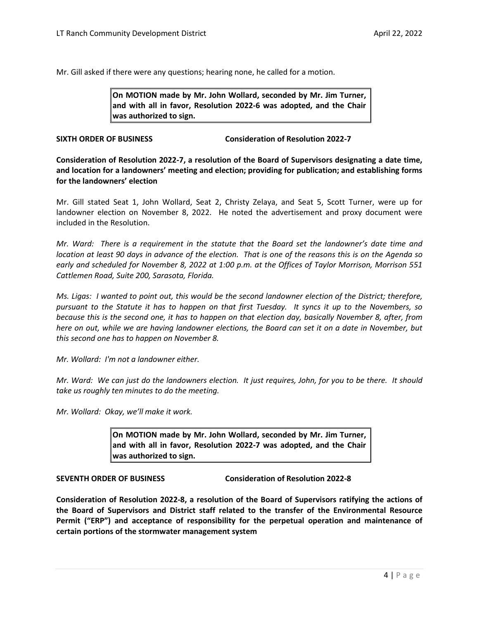Mr. Gill asked if there were any questions; hearing none, he called for a motion.

**On MOTION made by Mr. John Wollard, seconded by Mr. Jim Turner, and with all in favor, Resolution 2022-6 was adopted, and the Chair was authorized to sign.** 

# **SIXTH ORDER OF BUSINESS Consideration of Resolution 2022-7**

**Consideration of Resolution 2022-7, a resolution of the Board of Supervisors designating a date time, and location for a landowners' meeting and election; providing for publication; and establishing forms for the landowners' election**

Mr. Gill stated Seat 1, John Wollard, Seat 2, Christy Zelaya, and Seat 5, Scott Turner, were up for landowner election on November 8, 2022. He noted the advertisement and proxy document were included in the Resolution.

*Mr. Ward: There is a requirement in the statute that the Board set the landowner's date time and location at least 90 days in advance of the election. That is one of the reasons this is on the Agenda so early and scheduled for November 8, 2022 at 1:00 p.m. at the Offices of Taylor Morrison, Morrison 551 Cattlemen Road, Suite 200, Sarasota, Florida.* 

*Ms. Ligas: I wanted to point out, this would be the second landowner election of the District; therefore, pursuant to the Statute it has to happen on that first Tuesday. It syncs it up to the Novembers, so because this is the second one, it has to happen on that election day, basically November 8, after, from here on out, while we are having landowner elections, the Board can set it on a date in November, but this second one has to happen on November 8.* 

*Mr. Wollard: I'm not a landowner either.* 

*Mr. Ward: We can just do the landowners election. It just requires, John, for you to be there. It should take us roughly ten minutes to do the meeting.* 

*Mr. Wollard: Okay, we'll make it work.* 

**On MOTION made by Mr. John Wollard, seconded by Mr. Jim Turner, and with all in favor, Resolution 2022-7 was adopted, and the Chair was authorized to sign.** 

**SEVENTH ORDER OF BUSINESS Consideration of Resolution 2022-8** 

**Consideration of Resolution 2022-8, a resolution of the Board of Supervisors ratifying the actions of the Board of Supervisors and District staff related to the transfer of the Environmental Resource Permit ("ERP") and acceptance of responsibility for the perpetual operation and maintenance of certain portions of the stormwater management system**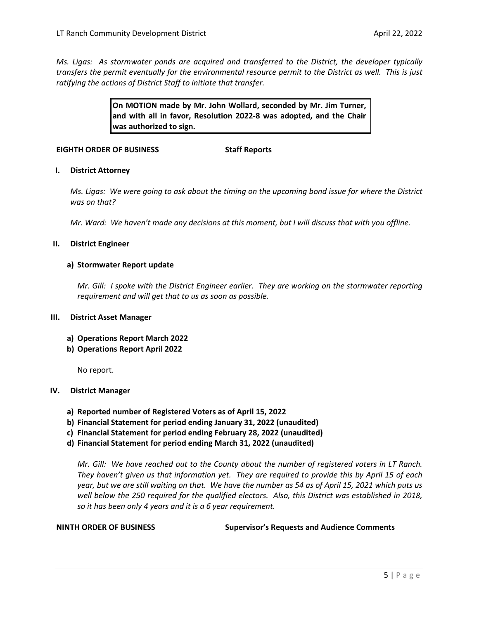*Ms. Ligas: As stormwater ponds are acquired and transferred to the District, the developer typically transfers the permit eventually for the environmental resource permit to the District as well. This is just ratifying the actions of District Staff to initiate that transfer.* 

> **On MOTION made by Mr. John Wollard, seconded by Mr. Jim Turner, and with all in favor, Resolution 2022-8 was adopted, and the Chair was authorized to sign.**

## **EIGHTH ORDER OF BUSINESS Staff Reports**

### **I. District Attorney**

*Ms. Ligas: We were going to ask about the timing on the upcoming bond issue for where the District was on that?*

*Mr. Ward: We haven't made any decisions at this moment, but I will discuss that with you offline.* 

### **II. District Engineer**

### **a) Stormwater Report update**

*Mr. Gill: I spoke with the District Engineer earlier. They are working on the stormwater reporting requirement and will get that to us as soon as possible.* 

### **III. District Asset Manager**

- **a) Operations Report March 2022**
- **b) Operations Report April 2022**

No report.

### **IV. District Manager**

- **a) Reported number of Registered Voters as of April 15, 2022**
- **b) Financial Statement for period ending January 31, 2022 (unaudited)**
- **c) Financial Statement for period ending February 28, 2022 (unaudited)**
- **d) Financial Statement for period ending March 31, 2022 (unaudited)**

*Mr. Gill: We have reached out to the County about the number of registered voters in LT Ranch. They haven't given us that information yet. They are required to provide this by April 15 of each year, but we are still waiting on that. We have the number as 54 as of April 15, 2021 which puts us well below the 250 required for the qualified electors. Also, this District was established in 2018, so it has been only 4 years and it is a 6 year requirement.* 

**NINTH ORDER OF BUSINESS Supervisor's Requests and Audience Comments**